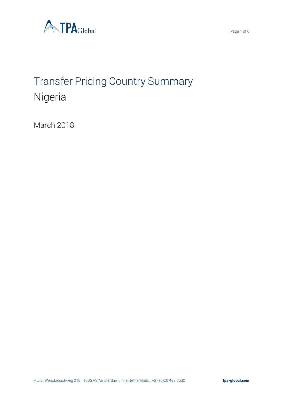

# Transfer Pricing Country Summary Nigeria

March 2018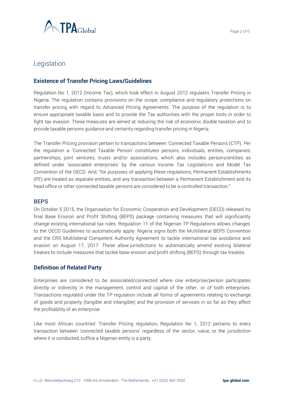

# Legislation

# **Existence of Transfer Pricing Laws/Guidelines**

Regulation No 1, 2012 (Income Tax), which took effect in August 2012 regulates Transfer Pricing in Nigeria. The regulation contains provisions on the scope; compliance and regulatory protections on transfer pricing with regard to Advanced Pricing Agreements. The purpose of the regulation is to ensure appropriate taxable basis and to provide the Tax authorities with the proper tools in order to fight tax evasion. These measures are aimed at reducing the risk of economic double taxation and to provide taxable persons guidance and certainty regarding transfer pricing in Nigeria.

The Transfer Pricing provision pertain to transactions between 'Connected Taxable Persons (CTP). Per the regulation a 'Connected Taxable Person' constitutes persons, individuals, entities, companies, partnerships, joint ventures, trusts and/or associations, which also includes persons/entities as defined under 'associated enterprises' by the various Income Tax Legislations and Model Tax Convention of the OECD. And, "for purposes of applying these regulations, Permanent Establishments (PE) are treated as separate entities, and any transaction between a Permanent Establishment and its head office or other connected taxable persons are considered to be a controlled transaction."

#### **BEPS**

On October 5 2015, the Organisation for Economic Cooperation and Development (OECD) released its final Base Erosion and Profit Shifting (BEPS) package containing measures that will significantly change existing international tax rules. Regulation 11 of the Nigerian TP Regulations allows changes to the OECD Guidelines to automatically apply. Nigeria signs both the Multilateral BEPS Convention and the CRS Multilateral Competent Authority Agreement to tackle international tax avoidance and evasion on August 17, 2017. These allow jurisdictions to automatically amend existing bilateral treaties to include measures that tackle base erosion and profit shifting (BEPS) through tax treaties.

## **Definition of Related Party**

Enterprises are considered to be associated/connected where one enterprise/person participates directly or indirectly in the management, control and capital of the other, or of both enterprises. Transactions regulated under the TP regulation include all forms of agreements relating to exchange of goods and property (tangible and intangible) and the provision of services in so far as they affect the profitability of an enterprise.

Like most African countries' Transfer Pricing regulation, Regulation No 1, 2012 pertains to every transaction between 'connected taxable persons' regardless of the sector, value, or the jurisdiction where it is conducted, suffice a Nigerian entity is a party.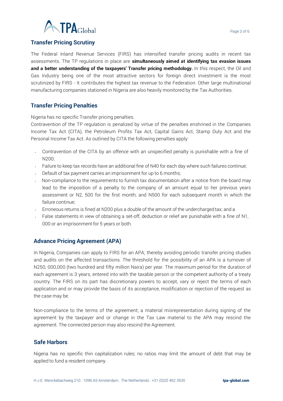

# **Transfer Pricing Scrutiny**

The Federal Inland Revenue Services (FIRS) has intensified transfer pricing audits in recent tax assessments. The TP regulations in place are **simultaneously aimed at identifying tax evasion issues and a better understanding of the taxpayers' Transfer pricing methodology.** In this respect, the Oil and Gas Industry being one of the most attractive sectors for foreign direct investment is the most scrutinized by FIRS - It contributes the highest tax revenue to the Federation. Other large multinational manufacturing companies stationed in Nigeria are also heavily monitored by the Tax Authorities.

# **Transfer Pricing Penalties**

Nigeria has no specific Transfer pricing penalties.

Contravention of the TP regulation is penalized by virtue of the penalties enshrined in the Companies Income Tax Act (CITA), the Petroleum Profits Tax Act, Capital Gains Act, Stamp Duty Act and the Personal Income Tax Act. As outlined by CITA the following penalties apply:

- Contravention of the CITA by an offence with an unspecified penalty is punishable with a fine of N200;
- Failure to keep tax records have an additional fine of N40 for each day where such failures continue;
- $\sim$  Default of tax payment carries an imprisonment for up to 6 months;
- $\sim$  Non-compliance to the requirements to furnish tax documentation after a notice from the board may lead to the imposition of a penalty to the company of an amount equal to her previous years assessment or N2, 500 for the first month; and N500 for each subsequent month in which the failure continue;
- Erroneous returns is fined at N200 plus a double of the amount of the undercharged tax; and a
- False statements in view of obtaining a set-off, deduction or relief are punishable with a fine of N1, 000 or an imprisonment for 5 years or both.

## **Advance Pricing Agreement (APA)**

In Nigeria, Companies can apply to FIRS for an APA; thereby avoiding periodic transfer pricing studies and audits on the affected transactions. The threshold for the possibility of an APA is a turnover of N250, 000,000 (two hundred and fifty million Naira) per year. The maximum period for the duration of each agreement is 3 years, entered into with the taxable person or the competent authority of a treaty country. The FIRS on its part has discretionary powers to accept, vary or reject the terms of each application and or may provide the basis of its acceptance, modification or rejection of the request as the case may be.

Non-compliance to the terms of the agreement; a material misrepresentation during signing of the agreement by the taxpayer and or change in the Tax Law material to the APA may rescind the agreement. The connected person may also rescind the Agreement.

## **Safe Harbors**

Nigeria has no specific thin capitalization rules; no ratios may limit the amount of debt that may be applied to fund a resident company.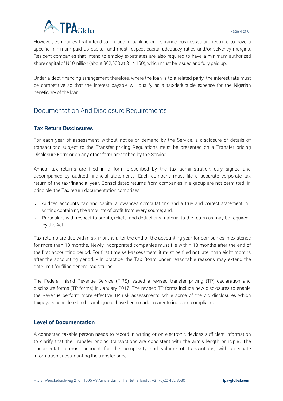

However, companies that intend to engage in banking or insurance businesses are required to have a specific minimum paid up capital, and must respect capital adequacy ratios and/or solvency margins. Resident companies that intend to employ expatriates are also required to have a minimum authorized share capital of N10million (about \$62,500 at \$1:N160), which must be issued and fully paid up.

Under a debt financing arrangement therefore, where the loan is to a related party, the interest rate must be competitive so that the interest payable will qualify as a tax-deductible expense for the Nigerian beneficiary of the loan.

# Documentation And Disclosure Requirements

# **Tax Return Disclosures**

For each year of assessment, without notice or demand by the Service, a disclosure of details of transactions subject to the Transfer pricing Regulations must be presented on a Transfer pricing Disclosure Form or on any other form prescribed by the Service.

Annual tax returns are filed in a form prescribed by the tax administration, duly signed and accompanied by audited financial statements. Each company must file a separate corporate tax return of the tax/financial year. Consolidated returns from companies in a group are not permitted. In principle, the Tax return documentation comprises:

- $\sim$  Audited accounts, tax and capital allowances computations and a true and correct statement in writing containing the amounts of profit from every source; and,
- Particulars with respect to profits, reliefs, and deductions material to the return as may be required by the Act.

Tax returns are due within six months after the end of the accounting year for companies in existence for more than 18 months. Newly incorporated companies must file within 18 months after the end of the first accounting period. For first time self-assessment, it must be filed not later than eight months after the accounting period. - In practice, the Tax Board under reasonable reasons may extend the date limit for filing general tax returns.

The Federal Inland Revenue Service (FIRS) issued a revised transfer pricing (TP) declaration and disclosure forms (TP forms) in January 2017. The revised TP forms include new disclosures to enable the Revenue perform more effective TP risk assessments, while some of the old disclosures which taxpayers considered to be ambiguous have been made clearer to increase compliance.

#### **Level of Documentation**

A connected taxable person needs to record in writing or on electronic devices sufficient information to clarify that the Transfer pricing transactions are consistent with the arm's length principle. The documentation must account for the complexity and volume of transactions, with adequate information substantiating the transfer price.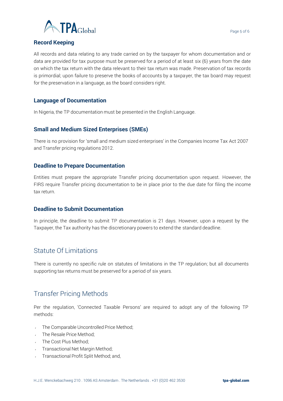

# **Record Keeping**

All records and data relating to any trade carried on by the taxpayer for whom documentation and or data are provided for tax purpose must be preserved for a period of at least six (6) years from the date on which the tax return with the data relevant to their tax return was made. Preservation of tax records is primordial; upon failure to preserve the books of accounts by a taxpayer, the tax board may request for the preservation in a language, as the board considers right.

## **Language of Documentation**

In Nigeria, the TP documentation must be presented in the English Language.

## **Small and Medium Sized Enterprises (SMEs)**

There is no provision for 'small and medium sized enterprises' in the Companies Income Tax Act 2007 and Transfer pricing regulations 2012.

## **Deadline to Prepare Documentation**

Entities must prepare the appropriate Transfer pricing documentation upon request. However, the FIRS require Transfer pricing documentation to be in place prior to the due date for filing the income tax return.

## **Deadline to Submit Documentation**

In principle, the deadline to submit TP documentation is 21 days. However, upon a request by the Taxpayer, the Tax authority has the discretionary powers to extend the standard deadline.

# Statute Of Limitations

There is currently no specific rule on statutes of limitations in the TP regulation; but all documents supporting tax returns must be preserved for a period of six years.

# Transfer Pricing Methods

Per the regulation, 'Connected Taxable Persons' are required to adopt any of the following TP methods:

- The Comparable Uncontrolled Price Method;
- The Resale Price Method;
- The Cost Plus Method;
- Transactional Net Margin Method;
- Transactional Profit Split Method; and,